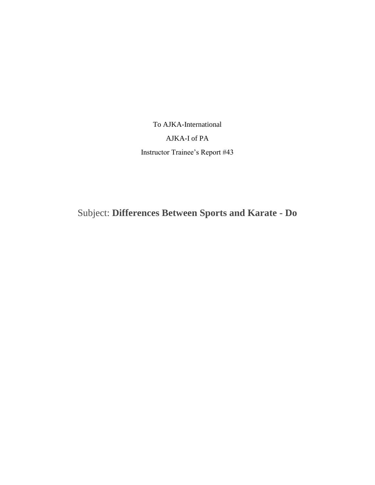To AJKA-International

# AJKA-I of PA

Instructor Trainee's Report #43

Subject: **Differences Between Sports and Karate - Do**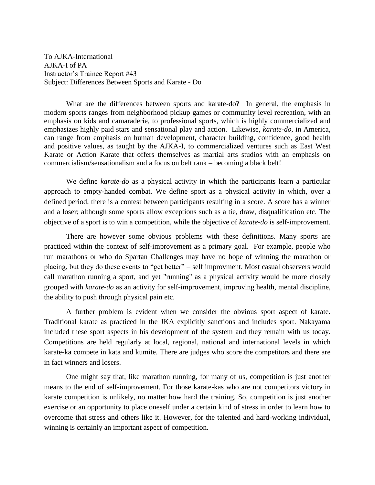To AJKA-International AJKA-I of PA Instructor's Trainee Report #43 Subject: Differences Between Sports and Karate - Do

What are the differences between sports and karate-do? In general, the emphasis in modern sports ranges from neighborhood pickup games or community level recreation, with an emphasis on kids and camaraderie, to professional sports, which is highly commercialized and emphasizes highly paid stars and sensational play and action. Likewise, *karate-do*, in America, can range from emphasis on human development, character building, confidence, good health and positive values, as taught by the AJKA-I, to commercialized ventures such as East West Karate or Action Karate that offers themselves as martial arts studios with an emphasis on commercialism/sensationalism and a focus on belt rank – becoming a black belt!

We define *karate-do* as a physical activity in which the participants learn a particular approach to empty-handed combat. We define sport as a physical activity in which, over a defined period, there is a contest between participants resulting in a score. A score has a winner and a loser; although some sports allow exceptions such as a tie, draw, disqualification etc. The objective of a sport is to win a competition, while the objective of *karate-do* is self-improvement.

There are however some obvious problems with these definitions. Many sports are practiced within the context of self-improvement as a primary goal. For example, people who run marathons or who do Spartan Challenges may have no hope of winning the marathon or placing, but they do these events to "get better" – self improvment. Most casual observers would call marathon running a sport, and yet "running" as a physical activity would be more closely grouped with *karate-do* as an activity for self-improvement, improving health, mental discipline, the ability to push through physical pain etc.

A further problem is evident when we consider the obvious sport aspect of karate. Traditional karate as practiced in the JKA explicitly sanctions and includes sport. Nakayama included these sport aspects in his development of the system and they remain with us today. Competitions are held regularly at local, regional, national and international levels in which karate-ka compete in kata and kumite. There are judges who score the competitors and there are in fact winners and losers.

One might say that, like marathon running, for many of us, competition is just another means to the end of self-improvement. For those karate-kas who are not competitors victory in karate competition is unlikely, no matter how hard the training. So, competition is just another exercise or an opportunity to place oneself under a certain kind of stress in order to learn how to overcome that stress and others like it. However, for the talented and hard-working individual, winning is certainly an important aspect of competition.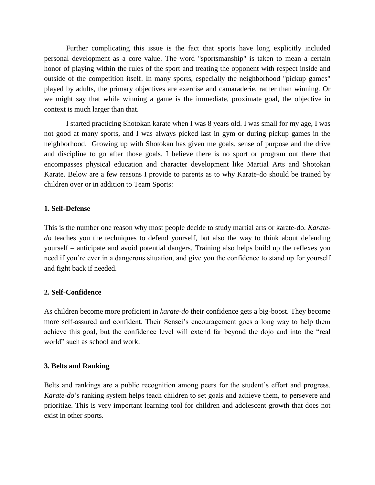Further complicating this issue is the fact that sports have long explicitly included personal development as a core value. The word "sportsmanship" is taken to mean a certain honor of playing within the rules of the sport and treating the opponent with respect inside and outside of the competition itself. In many sports, especially the neighborhood "pickup games" played by adults, the primary objectives are exercise and camaraderie, rather than winning. Or we might say that while winning a game is the immediate, proximate goal, the objective in context is much larger than that.

I started practicing Shotokan karate when I was 8 years old. I was small for my age, I was not good at many sports, and I was always picked last in gym or during pickup games in the neighborhood. Growing up with Shotokan has given me goals, sense of purpose and the drive and discipline to go after those goals. I believe there is no sport or program out there that encompasses physical education and character development like Martial Arts and Shotokan Karate. Below are a few reasons I provide to parents as to why Karate-do should be trained by children over or in addition to Team Sports:

# **1. Self-Defense**

This is the number one reason why most people decide to study martial arts or karate-do. *Karatedo* teaches you the techniques to defend yourself, but also the way to think about defending yourself – anticipate and avoid potential dangers. Training also helps build up the reflexes you need if you're ever in a dangerous situation, and give you the confidence to stand up for yourself and fight back if needed.

### **2. Self-Confidence**

As children become more proficient in *karate-do* their confidence gets a big-boost. They become more self-assured and confident. Their Sensei's encouragement goes a long way to help them achieve this goal, but the confidence level will extend far beyond the dojo and into the "real world" such as school and work.

### **3. Belts and Ranking**

Belts and rankings are a public recognition among peers for the student's effort and progress. *Karate-do*'s ranking system helps teach children to set goals and achieve them, to persevere and prioritize. This is very important learning tool for children and adolescent growth that does not exist in other sports.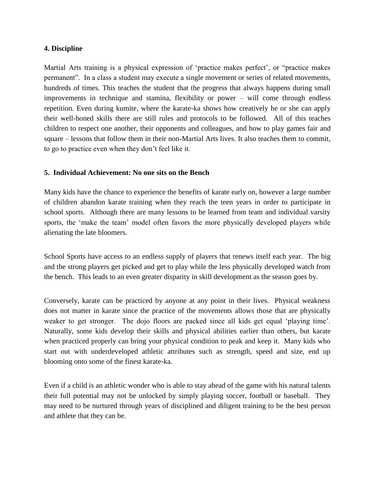### **4. Discipline**

Martial Arts training is a physical expression of 'practice makes perfect', or "practice makes permanent". In a class a student may execute a single movement or series of related movements, hundreds of times. This teaches the student that the progress that always happens during small improvements in technique and stamina, flexibility or power – will come through endless repetition. Even during kumite, where the karate-ka shows how creatively he or she can apply their well-honed skills there are still rules and protocols to be followed. All of this teaches children to respect one another, their opponents and colleagues, and how to play games fair and square – lessons that follow them in their non-Martial Arts lives. It also teaches them to commit, to go to practice even when they don't feel like it.

# **5. Individual Achievement: No one sits on the Bench**

Many kids have the chance to experience the benefits of karate early on, however a large number of children abandon karate training when they reach the teen years in order to participate in school sports. Although there are many lessons to be learned from team and individual varsity sports, the 'make the team' model often favors the more physically developed players while alienating the late bloomers.

School Sports have access to an endless supply of players that renews itself each year. The big and the strong players get picked and get to play while the less physically developed watch from the bench. This leads to an even greater disparity in skill development as the season goes by.

Conversely, karate can be practiced by anyone at any point in their lives. Physical weakness does not matter in karate since the practice of the movements allows those that are physically weaker to get stronger. The dojo floors are packed since all kids get equal 'playing time'. Naturally, some kids develop their skills and physical abilities earlier than others, but karate when practiced properly can bring your physical condition to peak and keep it. Many kids who start out with underdeveloped athletic attributes such as strength, speed and size, end up blooming onto some of the finest karate-ka.

Even if a child is an athletic wonder who is able to stay ahead of the game with his natural talents their full potential may not be unlocked by simply playing soccer, football or baseball. They may need to be nurtured through years of disciplined and diligent training to be the best person and athlete that they can be.